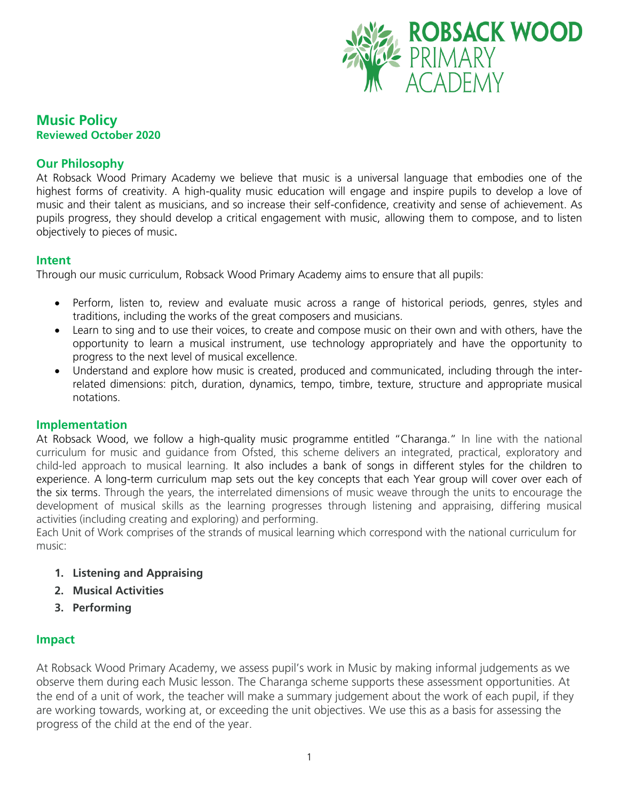

## **Music Policy Reviewed October 2020**

## **Our Philosophy**

At Robsack Wood Primary Academy we believe that music is a universal language that embodies one of the highest forms of creativity. A high-quality music education will engage and inspire pupils to develop a love of music and their talent as musicians, and so increase their self-confidence, creativity and sense of achievement. As pupils progress, they should develop a critical engagement with music, allowing them to compose, and to listen objectively to pieces of music.

#### **Intent**

Through our music curriculum, Robsack Wood Primary Academy aims to ensure that all pupils:

- Perform, listen to, review and evaluate music across a range of historical periods, genres, styles and traditions, including the works of the great composers and musicians.
- Learn to sing and to use their voices, to create and compose music on their own and with others, have the opportunity to learn a musical instrument, use technology appropriately and have the opportunity to progress to the next level of musical excellence.
- Understand and explore how music is created, produced and communicated, including through the interrelated dimensions: pitch, duration, dynamics, tempo, timbre, texture, structure and appropriate musical notations.

#### **Implementation**

At Robsack Wood, we follow a high-quality music programme entitled "Charanga." In line with the national curriculum for music and guidance from Ofsted, this scheme delivers an integrated, practical, exploratory and child-led approach to musical learning. It also includes a bank of songs in different styles for the children to experience. A long-term curriculum map sets out the key concepts that each Year group will cover over each of the six terms. Through the years, the interrelated dimensions of music weave through the units to encourage the development of musical skills as the learning progresses through listening and appraising, differing musical activities (including creating and exploring) and performing.

Each Unit of Work comprises of the strands of musical learning which correspond with the national curriculum for music:

- **1. Listening and Appraising**
- **2. Musical Activities**
- **3. Performing**

#### **Impact**

At Robsack Wood Primary Academy, we assess pupil's work in Music by making informal judgements as we observe them during each Music lesson. The Charanga scheme supports these assessment opportunities. At the end of a unit of work, the teacher will make a summary judgement about the work of each pupil, if they are working towards, working at, or exceeding the unit objectives. We use this as a basis for assessing the progress of the child at the end of the year.